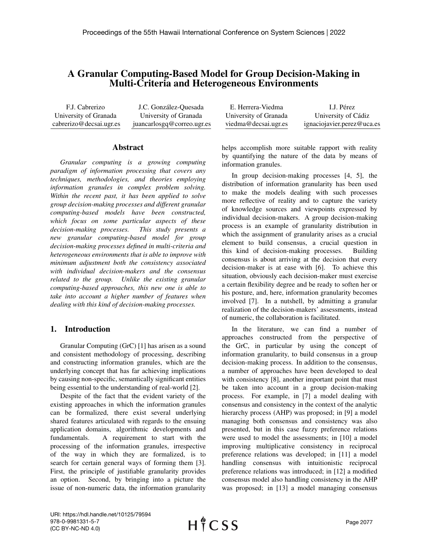# A Granular Computing-Based Model for Group Decision-Making in Multi-Criteria and Heterogeneous Environments

F.J. Cabrerizo University of Granada cabrerizo@decsai.ugr.es J.C. González-Quesada University of Granada juancarlosgq@correo.ugr.es

#### Abstract

*Granular computing is a growing computing paradigm of information processing that covers any techniques, methodologies, and theories employing information granules in complex problem solving. Within the recent past, it has been applied to solve group decision-making processes and different granular computing-based models have been constructed, which focus on some particular aspects of these decision-making processes. This study presents a new granular computing-based model for group decision-making processes defined in multi-criteria and heterogeneous environments that is able to improve with minimum adjustment both the consistency associated with individual decision-makers and the consensus related to the group. Unlike the existing granular computing-based approaches, this new one is able to take into account a higher number of features when dealing with this kind of decision-making processes.*

# 1. Introduction

Granular Computing (GrC) [1] has arisen as a sound and consistent methodology of processing, describing and constructing information granules, which are the underlying concept that has far achieving implications by causing non-specific, semantically significant entities being essential to the understanding of real-world [2].

Despite of the fact that the evident variety of the existing approaches in which the information granules can be formalized, there exist several underlying shared features articulated with regards to the ensuing application domains, algorithmic developments and fundamentals. A requirement to start with the processing of the information granules, irrespective of the way in which they are formalized, is to search for certain general ways of forming them [3]. First, the principle of justifiable granularity provides an option. Second, by bringing into a picture the issue of non-numeric data, the information granularity

| E. Herrera-Viedma     | I.J. Pérez                 |
|-----------------------|----------------------------|
| University of Granada | University of Cádiz        |
| viedma@decsai.ugr.es  | ignaciojavier.perez@uca.es |

helps accomplish more suitable rapport with reality by quantifying the nature of the data by means of information granules.

In group decision-making processes [4, 5], the distribution of information granularity has been used to make the models dealing with such processes more reflective of reality and to capture the variety of knowledge sources and viewpoints expressed by individual decision-makers. A group decision-making process is an example of granularity distribution in which the assignment of granularity arises as a crucial element to build consensus, a crucial question in this kind of decision-making processes. Building consensus is about arriving at the decision that every decision-maker is at ease with [6]. To achieve this situation, obviously each decision-maker must exercise a certain flexibility degree and be ready to soften her or his posture, and, here, information granularity becomes involved [7]. In a nutshell, by admitting a granular realization of the decision-makers' assessments, instead of numeric, the collaboration is facilitated.

In the literature, we can find a number of approaches constructed from the perspective of the GrC, in particular by using the concept of information granularity, to build consensus in a group decision-making process. In addition to the consensus, a number of approaches have been developed to deal with consistency [8], another important point that must be taken into account in a group decision-making process. For example, in [7] a model dealing with consensus and consistency in the context of the analytic hierarchy process (AHP) was proposed; in [9] a model managing both consensus and consistency was also presented, but in this case fuzzy preference relations were used to model the assessments; in [10] a model improving multiplicative consistency in reciprocal preference relations was developed; in [11] a model handling consensus with intuitionistic reciprocal preference relations was introduced; in [12] a modified consensus model also handling consistency in the AHP was proposed; in [13] a model managing consensus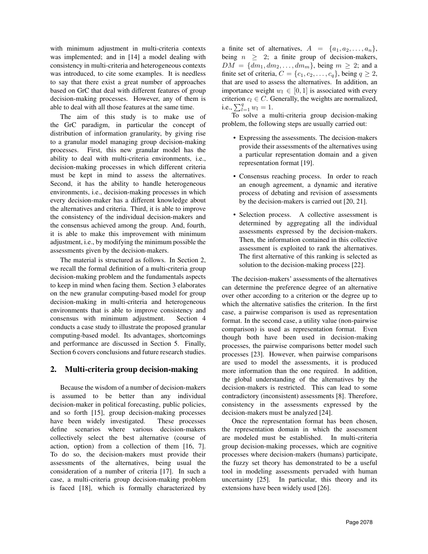with minimum adjustment in multi-criteria contexts was implemented; and in [14] a model dealing with consistency in multi-criteria and heterogeneous contexts was introduced, to cite some examples. It is needless to say that there exist a great number of approaches based on GrC that deal with different features of group decision-making processes. However, any of them is able to deal with all those features at the same time.

The aim of this study is to make use of the GrC paradigm, in particular the concept of distribution of information granularity, by giving rise to a granular model managing group decision-making processes. First, this new granular model has the ability to deal with multi-criteria environments, i.e., decision-making processes in which different criteria must be kept in mind to assess the alternatives. Second, it has the ability to handle heterogeneous environments, i.e., decision-making processes in which every decision-maker has a different knowledge about the alternatives and criteria. Third, it is able to improve the consistency of the individual decision-makers and the consensus achieved among the group. And, fourth, it is able to make this improvement with minimum adjustment, i.e., by modifying the minimum possible the assessments given by the decision-makers.

The material is structured as follows. In Section 2, we recall the formal definition of a multi-criteria group decision-making problem and the fundamentals aspects to keep in mind when facing them. Section 3 elaborates on the new granular computing-based model for group decision-making in multi-criteria and heterogeneous environments that is able to improve consistency and consensus with minimum adjustment. Section 4 conducts a case study to illustrate the proposed granular computing-based model. Its advantages, shortcomings and performance are discussed in Section 5. Finally, Section 6 covers conclusions and future research studies.

# 2. Multi-criteria group decision-making

Because the wisdom of a number of decision-makers is assumed to be better than any individual decision-maker in political forecasting, public policies, and so forth [15], group decision-making processes have been widely investigated. These processes define scenarios where various decision-makers collectively select the best alternative (course of action, option) from a collection of them [16, 7]. To do so, the decision-makers must provide their assessments of the alternatives, being usual the consideration of a number of criteria [17]. In such a case, a multi-criteria group decision-making problem is faced [18], which is formally characterized by

a finite set of alternatives,  $A = \{a_1, a_2, \ldots, a_n\},\$ being  $n \geq 2$ ; a finite group of decision-makers,  $DM = \{dm_1, dm_2, \ldots, dm_m\}$ , being  $m \geq 2$ ; and a finite set of criteria,  $C = \{c_1, c_2, \ldots, c_q\}$ , being  $q \geq 2$ , that are used to assess the alternatives. In addition, an importance weight  $w_l \in [0, 1]$  is associated with every criterion  $c_l \in C$ . Generally, the weights are normalized, i.e.,  $\sum_{l=1}^{q} w_l = 1$ .

To solve a multi-criteria group decision-making problem, the following steps are usually carried out:

- Expressing the assessments. The decision-makers provide their assessments of the alternatives using a particular representation domain and a given representation format [19].
- Consensus reaching process. In order to reach an enough agreement, a dynamic and iterative process of debating and revision of assessments by the decision-makers is carried out [20, 21].
- Selection process. A collective assessment is determined by aggregating all the individual assessments expressed by the decision-makers. Then, the information contained in this collective assessment is exploited to rank the alternatives. The first alternative of this ranking is selected as solution to the decision-making process [22].

The decision-makers' assessments of the alternatives can determine the preference degree of an alternative over other according to a criterion or the degree up to which the alternative satisfies the criterion. In the first case, a pairwise comparison is used as representation format. In the second case, a utility value (non-pairwise comparison) is used as representation format. Even though both have been used in decision-making processes, the pairwise comparisons better model such processes [23]. However, when pairwise comparisons are used to model the assessments, it is produced more information than the one required. In addition, the global understanding of the alternatives by the decision-makers is restricted. This can lead to some contradictory (inconsistent) assessments [8]. Therefore, consistency in the assessments expressed by the decision-makers must be analyzed [24].

Once the representation format has been chosen, the representation domain in which the assessment are modeled must be established. In multi-criteria group decision-making processes, which are cognitive processes where decision-makers (humans) participate, the fuzzy set theory has demonstrated to be a useful tool in modeling assessments pervaded with human uncertainty [25]. In particular, this theory and its extensions have been widely used [26].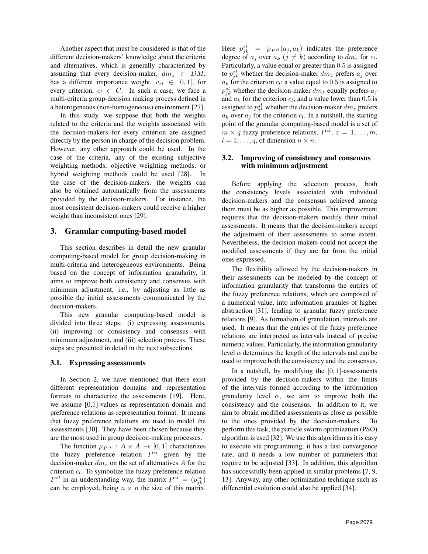Another aspect that must be considered is that of the different decision-makers' knowledge about the criteria and alternatives, which is generally characterized by assuming that every decision-maker,  $dm_z \in DM$ , has a different importance weight,  $v_{z}$   $\in$  [0, 1], for every criterion,  $c_l \in C$ . In such a case, we face a multi-criteria group-decision making process defined in a heterogeneous (non-homogeneous) environment [27].

In this study, we suppose that both the weights related to the criteria and the weights associated with the decision-makers for every criterion are assigned directly by the person in charge of the decision problem. However, any other approach could be used. In the case of the criteria, any of the existing subjective weighting methods, objective weighting methods, or hybrid weighting methods could be used [28]. In the case of the decision-makers, the weights can also be obtained automatically from the assessments provided by the decision-makers. For instance, the most consistent decision-makers could receive a higher weight than inconsistent ones [29].

## 3. Granular computing-based model

This section describes in detail the new granular computing-based model for group decision-making in multi-criteria and heterogeneous environments. Being based on the concept of information granularity, it aims to improve both consistency and consensus with minimum adjustment, i.e., by adjusting as little as possible the initial assessments communicated by the decision-makers.

This new granular computing-based model is divided into three steps: (i) expressing assessments, (ii) improving of consistency and consensus with minimum adjustment, and (iii) selection process. These steps are presented in detail in the next subsections.

#### 3.1. Expressing assessments

In Section 2, we have mentioned that there exist different representation domains and representation formats to characterize the assessments [19]. Here, we assume [0,1]-values as representation domain and preference relations as representation format. It means that fuzzy preference relations are used to model the assessments [30]. They have been chosen because they are the most used in group decision-making processes.

The function  $\mu_{P^{\mathcal{Z}}} : A \times A \rightarrow [0,1]$  characterizes the fuzzy preference relation  $P^{z}$  given by the decision-maker  $dm_z$  on the set of alternatives A for the criterion  $c_l$ . To symbolize the fuzzy preference relation  $P^{zl}$  in an understanding way, the matrix  $P^{zl} = (p_{jk}^{zl})$ can be employed, being  $n \times n$  the size of this matrix.

Here  $p_{jk}^{z l} = \mu_{P^{z l}}(a_j, a_k)$  indicates the preference degree of  $a_j$  over  $a_k$   $(j \neq k)$  according to  $dm_z$  for  $c_l$ . Particularly, a value equal or greater than 0.5 is assigned to  $p_{jk}^{zl}$  whether the decision-maker  $dm_z$  prefers  $a_j$  over  $a_k$  for the criterion  $c_l$ ; a value equal to 0.5 is assigned to  $p_{jk}^{z_l}$  whether the decision-maker  $dm_z$  equally prefers  $a_j$ and  $a_k$  for the criterion  $c_l$ ; and a value lower than 0.5 is assigned to  $p_{jk}^{zl}$  whether the decision-maker  $dm_z$  prefers  $a_k$  over  $a_j$  for the criterion  $c_l$ . In a nutshell, the starting point of the granular computing-based model is a set of  $m \times q$  fuzzy preference relations,  $P^{zl}$ ,  $z = 1, \ldots, m$ ,  $l = 1, \ldots, q$ , of dimension  $n \times n$ .

#### 3.2. Improving of consistency and consensus with minimum adjustment

Before applying the selection process, both the consistency levels associated with individual decision-makers and the consensus achieved among them must be as higher as possible. This improvement requires that the decision-makers modify their initial assessments. It means that the decision-makers accept the adjustment of their assessments to some extent. Nevertheless, the decision-makers could not accept the modified assessments if they are far from the initial ones expressed.

The flexibility allowed by the decision-makers in their assessments can be modeled by the concept of information granularity that transforms the entries of the fuzzy preference relations, which are composed of a numerical value, into information granules of higher abstraction [31], leading to granular fuzzy preference relations [9]. As formalism of granulation, intervals are used. It means that the entries of the fuzzy preference relations are interpreted as intervals instead of precise numeric values. Particularly, the information granularity level  $\alpha$  determines the length of the intervals and can be used to improve both the consistency and the consensus.

In a nutshell, by modifying the  $[0, 1]$ -assessments provided by the decision-makers within the limits of the intervals formed according to the information granularity level  $\alpha$ , we aim to improve both the consistency and the consensus. In addition to it, we aim to obtain modified assessments as close as possible to the ones provided by the decision-makers. To perform this task, the particle swarm optimization (PSO) algorithm is used [32]. We use this algorithm as it is easy to execute via programming, it has a fast convergence rate, and it needs a low number of parameters that require to be adjusted [33]. In addition, this algorithm has successfully been applied in similar problems [7, 9, 13]. Anyway, any other optimization technique such as differential evolution could also be applied [34].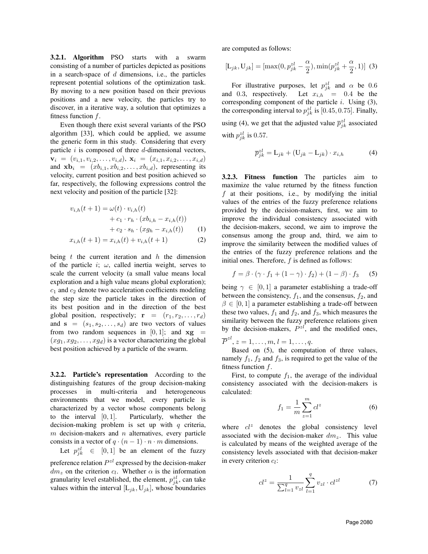3.2.1. Algorithm PSO starts with a swarm consisting of a number of particles depicted as positions in a search-space of  $d$  dimensions, i.e., the particles represent potential solutions of the optimization task. By moving to a new position based on their previous positions and a new velocity, the particles try to discover, in a iterative way, a solution that optimizes a fitness function  $f$ .

Even though there exist several variants of the PSO algorithm [33], which could be applied, we assume the generic form in this study. Considering that every particle  $i$  is composed of three  $d$ -dimensional vectors,  $\mathbf{v}_i = (v_{i,1}, v_{i,2}, \ldots, v_{i,d}), \mathbf{x}_i = (x_{i,1}, x_{i,2}, \ldots, x_{i,d})$ and  $\mathbf{x} \mathbf{b}_i = (x b_{i,1}, x b_{i,2}, \dots, x b_{i,d})$ , representing its velocity, current position and best position achieved so far, respectively, the following expressions control the next velocity and position of the particle [32]:

$$
v_{i,h}(t+1) = \omega(t) \cdot v_{i,h}(t) + c_1 \cdot r_h \cdot (x b_{i,h} - x_{i,h}(t)) + c_2 \cdot s_h \cdot (x g_h - x_{i,h}(t))
$$
(1)

$$
x_{i,h}(t+1) = x_{i,h}(t) + v_{i,h}(t+1)
$$
 (2)

being  $t$  the current iteration and  $h$  the dimension of the particle i;  $\omega$ , called inertia weight, serves to scale the current velocity (a small value means local exploration and a high value means global exploration);  $c_1$  and  $c_2$  denote two acceleration coefficients modeling the step size the particle takes in the direction of its best position and in the direction of the best global position, respectively;  $\mathbf{r} = (r_1, r_2, \dots, r_d)$ and  $s = (s_1, s_2, \ldots, s_d)$  are two vectors of values from two random sequences in  $[0, 1]$ ; and  $xg$  =  $(xg_1, xg_2, \ldots, xg_d)$  is a vector characterizing the global best position achieved by a particle of the swarm.

3.2.2. Particle's representation According to the distinguishing features of the group decision-making processes in multi-criteria and heterogeneous environments that we model, every particle is characterized by a vector whose components belong to the interval  $[0, 1]$ . Particularly, whether the decision-making problem is set up with  $q$  criteria,  $m$  decision-makers and  $n$  alternatives, every particle consists in a vector of  $q \cdot (n-1) \cdot n \cdot m$  dimensions.

Let  $p_{jk}^{z l} \in [0, 1]$  be an element of the fuzzy preference relation  $P^{zl}$  expressed by the decision-maker  $dm_z$  on the criterion  $c_l$ . Whether  $\alpha$  is the information granularity level established, the element,  $p_{jk}^{zl}$ , can take values within the interval  $[L_{jk}, U_{jk}]$ , whose boundaries are computed as follows:

$$
[L_{jk}, U_{jk}] = [\max(0, p_{jk}^{zl} - \frac{\alpha}{2}), \min(p_{jk}^{zl} + \frac{\alpha}{2}, 1)]
$$
 (3)

For illustrative purposes, let  $p_{jk}^{zl}$  and  $\alpha$  be 0.6 and 0.3, respectively. Let  $x_{i,h} = 0.4$  be the corresponding component of the particle  $i$ . Using  $(3)$ , the corresponding interval to  $p_{jk}^{zl}$  is [0.45, 0.75]. Finally, using (4), we get that the adjusted value  $\bar{p}_{jk}^{z\ell}$  associated with  $p_{jk}^{zl}$  is 0.57.

$$
\overline{p}_{jk}^{zl} = \mathcal{L}_{jk} + (\mathcal{U}_{jk} - \mathcal{L}_{jk}) \cdot x_{i,h} \tag{4}
$$

3.2.3. Fitness function The particles aim to maximize the value returned by the fitness function f at their positions, i.e., by modifying the initial values of the entries of the fuzzy preference relations provided by the decision-makers, first, we aim to improve the individual consistency associated with the decision-makers, second, we aim to improve the consensus among the group and, third, we aim to improve the similarity between the modified values of the entries of the fuzzy preference relations and the initial ones. Therefore,  $f$  is defined as follows:

$$
f = \beta \cdot (\gamma \cdot f_1 + (1 - \gamma) \cdot f_2) + (1 - \beta) \cdot f_3 \qquad (5)
$$

being  $\gamma \in [0, 1]$  a parameter establishing a trade-off between the consistency,  $f_1$ , and the consensus,  $f_2$ , and  $\beta \in [0, 1]$  a parameter establishing a trade-off between these two values,  $f_1$  and  $f_2$ , and  $f_3$ , which measures the similarity between the fuzzy preference relations given by the decision-makers,  $P^{zl}$ , and the modified ones,

 $\overline{P}^{zl}, z = 1, \ldots, m, l = 1, \ldots, q.$ 

Based on (5), the computation of three values, namely  $f_1$ ,  $f_2$  and  $f_3$ , is required to get the value of the fitness function  $f$ .

First, to compute  $f_1$ , the average of the individual consistency associated with the decision-makers is calculated:

$$
f_1 = \frac{1}{m} \sum_{z=1}^{m} cl^z
$$
 (6)

where  $cl^z$  denotes the global consistency level associated with the decision-maker  $dm_z$ . This value is calculated by means of the weighted average of the consistency levels associated with that decision-maker in every criterion  $c_l$ :

$$
cl^{z} = \frac{1}{\sum_{l=1}^{q} v_{zl}} \sum_{l=1}^{q} v_{zl} \cdot cl^{zl}
$$
 (7)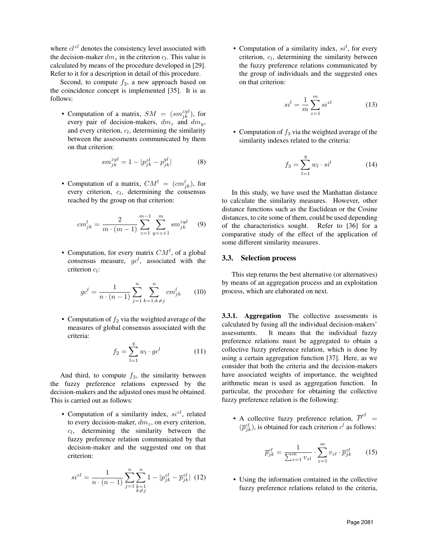where  $cl^{z\ell}$  denotes the consistency level associated with the decision-maker  $dm_z$  in the criterion  $c_l$ . This value is calculated by means of the procedure developed in [29]. Refer to it for a description in detail of this procedure.

Second, to compute  $f_2$ , a new approach based on the coincidence concept is implemented [35]. It is as follows:

• Computation of a matrix,  $SM = (sm_{jk}^{zyl})$ , for every pair of decision-makers,  $dm_z$  and  $dm_y$ , and every criterion,  $c_l$ , determining the similarity between the assessments communicated by them on that criterion:

$$
sm_{jk}^{zyl} = 1 - |p_{jk}^{zl} - p_{jk}^{yl}|
$$
 (8)

• Computation of a matrix,  $CM^{l} = (cm^{l}_{jk})$ , for every criterion,  $c_l$ , determining the consensus reached by the group on that criterion:

$$
cm_{jk}^{l} = \frac{2}{m \cdot (m-1)} \sum_{z=1}^{m-1} \sum_{y=z+1}^{m} sm_{jk}^{zyl} \qquad (9)
$$

• Computation, for every matrix  $CM<sup>l</sup>$ , of a global consensus measure,  $gc^l$ , associated with the criterion  $c_l$ :

$$
gc^{l} = \frac{1}{n \cdot (n-1)} \sum_{j=1}^{n} \sum_{k=1; k \neq j}^{n} cm_{jk}^{l}
$$
 (10)

• Computation of  $f_2$  via the weighted average of the measures of global consensus associated with the criteria:

$$
f_2 = \sum_{l=1}^{q} w_l \cdot g c^l \tag{11}
$$

And third, to compute  $f_3$ , the similarity between the fuzzy preference relations expressed by the decision-makers and the adjusted ones must be obtained. This is carried out as follows:

• Computation of a similarity index,  $si^{z}$ , related to every decision-maker,  $dm_z$ , on every criterion,  $c_l$ , determining the similarity between the fuzzy preference relation communicated by that decision-maker and the suggested one on that criterion:

$$
si^{zl} = \frac{1}{n \cdot (n-1)} \sum_{j=1}^{n} \sum_{\substack{k=1 \ k \neq j}}^{n} 1 - |p_{jk}^{zl} - \overline{p}_{jk}^{zl}| \tag{12}
$$

• Computation of a similarity index,  $si<sup>l</sup>$ , for every criterion,  $c_l$ , determining the similarity between the fuzzy preference relations communicated by the group of individuals and the suggested ones on that criterion:

$$
sil = \frac{1}{m} \sum_{z=1}^{m} si^{zl}
$$
 (13)

• Computation of  $f_3$  via the weighted average of the similarity indexes related to the criteria:

$$
f_3 = \sum_{l=1}^q w_l \cdot si^l \tag{14}
$$

In this study, we have used the Manhattan distance to calculate the similarity measures. However, other distance functions such as the Euclidean or the Cosine distances, to cite some of them, could be used depending of the characteristics sought. Refer to [36] for a comparative study of the effect of the application of some different similarity measures.

#### 3.3. Selection process

This step returns the best alternative (or alternatives) by means of an aggregation process and an exploitation process, which are elaborated on next.

3.3.1. Aggregation The collective assessments is calculated by fusing all the individual decision-makers' assessments. It means that the individual fuzzy preference relations must be aggregated to obtain a collective fuzzy preference relation, which is done by using a certain aggregation function [37]. Here, as we consider that both the criteria and the decision-makers have associated weights of importance, the weighted arithmetic mean is used as aggregation function. In particular, the procedure for obtaining the collective fuzzy preference relation is the following:

• A collective fuzzy preference relation,  $\overline{P}^{cl}$  =  $(\overline{p}_{jk}^{cl})$ , is obtained for each criterion  $c^l$  as follows:

$$
\overline{p}_{jk}^{cl} = \frac{1}{\sum_{z=1}^{m} v_{zl}} \cdot \sum_{z=1}^{m} v_{zl} \cdot \overline{p}_{jk}^{zl}
$$
 (15)

• Using the information contained in the collective fuzzy preference relations related to the criteria,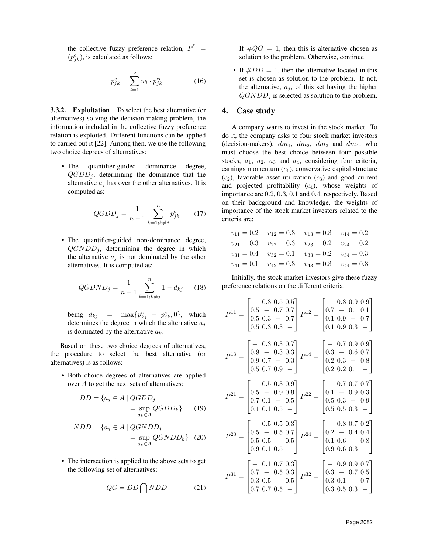the collective fuzzy preference relation,  $\overline{P}^c$  =  $(\overline{p}_{jk}^c)$ , is calculated as follows:

$$
\overline{p}_{jk}^c = \sum_{l=1}^q w_l \cdot \overline{p}_{jk}^{cl} \tag{16}
$$

3.3.2. Exploitation To select the best alternative (or alternatives) solving the decision-making problem, the information included in the collective fuzzy preference relation is exploited. Different functions can be applied to carried out it [22]. Among then, we use the following two choice degrees of alternatives:

• The quantifier-guided dominance degree,  $QGDD_i$ , determining the dominance that the alternative  $a_j$  has over the other alternatives. It is computed as:

$$
QGDD_j = \frac{1}{n-1} \sum_{k=1; k \neq j}^{n} \overline{p}_{jk}^c \qquad (17)
$$

• The quantifier-guided non-dominance degree,  $QGNDD_i$ , determining the degree in which the alternative  $a_j$  is not dominated by the other alternatives. It is computed as:

$$
QGDND_j = \frac{1}{n-1} \sum_{k=1; k \neq j}^{n} 1 - d_{kj} \qquad (18)
$$

being  $d_{kj} = \max{\{\overline{p}_{kj}^c - \overline{p}_{jk}^c, 0\}}$ , which determines the degree in which the alternative  $a_i$ is dominated by the alternative  $a_k$ .

Based on these two choice degrees of alternatives, the procedure to select the best alternative (or alternatives) is as follows:

• Both choice degrees of alternatives are applied over A to get the next sets of alternatives:

$$
DD = \{a_j \in A \mid QGDD_j
$$
  
= 
$$
\sup_{a_k \in A} QGDD_k\}
$$
 (19)

$$
NDD = \{a_j \in A \mid QGNDD_j
$$
  
= 
$$
\sup_{a_k \in A} QGNDD_k \} (20)
$$

• The intersection is applied to the above sets to get the following set of alternatives:

$$
QG = DD \bigcap NDD \tag{21}
$$

If  $\#QG = 1$ , then this is alternative chosen as solution to the problem. Otherwise, continue.

• If  $#DD = 1$ , then the alternative located in this set is chosen as solution to the problem. If not, the alternative,  $a_j$ , of this set having the higher  $QGNDD<sub>j</sub>$  is selected as solution to the problem.

## 4. Case study

A company wants to invest in the stock market. To do it, the company asks to four stock market investors (decision-makers),  $dm_1$ ,  $dm_2$ ,  $dm_3$  and  $dm_4$ , who must choose the best choice between four possible stocks,  $a_1$ ,  $a_2$ ,  $a_3$  and  $a_4$ , considering four criteria, earnings momentum  $(c_1)$ , conservative capital structure  $(c_2)$ , favorable asset utilization  $(c_3)$  and good current and projected profitability  $(c_4)$ , whose weights of importance are 0.2, 0.3, 0.1 and 0.4, respectively. Based on their background and knowledge, the weights of importance of the stock market investors related to the criteria are:

$$
v_{11} = 0.2 \t v_{12} = 0.3 \t v_{13} = 0.3 \t v_{14} = 0.2
$$
  
\n
$$
v_{21} = 0.3 \t v_{22} = 0.3 \t v_{23} = 0.2 \t v_{24} = 0.2
$$
  
\n
$$
v_{31} = 0.4 \t v_{32} = 0.1 \t v_{33} = 0.2 \t v_{34} = 0.3
$$
  
\n
$$
v_{41} = 0.1 \t v_{42} = 0.3 \t v_{43} = 0.3 \t v_{44} = 0.3
$$

Initially, the stock market investors give these fuzzy preference relations on the different criteria:

$$
P^{11} = \begin{bmatrix} - & 0.3 & 0.5 & 0.5 \\ 0.5 & - & 0.7 & 0.7 \\ 0.5 & 0.3 & - & 0.7 \\ 0.5 & 0.3 & 0.3 & - \end{bmatrix} P^{12} = \begin{bmatrix} - & 0.3 & 0.9 & 0.9 \\ 0.7 & - & 0.1 & 0.1 \\ 0.1 & 0.9 & - & 0.7 \\ 0.1 & 0.9 & 0.3 & - \end{bmatrix}
$$

$$
P^{13} = \begin{bmatrix} - & 0.3 & 0.3 & 0.7 \\ 0.9 & - & 0.3 & 0.3 \\ 0.9 & 0.7 & - & 0.3 \\ 0.5 & 0.7 & 0.9 & - \end{bmatrix} P^{14} = \begin{bmatrix} - & 0.7 & 0.9 & 0.9 \\ 0.3 & - & 0.6 & 0.7 \\ 0.2 & 0.3 & - & 0.8 \\ 0.2 & 0.2 & 0.1 & - \end{bmatrix}
$$

$$
P^{21} = \begin{bmatrix} - & 0.5 & 0.3 & 0.9 \\ 0.5 & - & 0.9 & 0.9 \\ 0.7 & 0.1 & - & 0.5 \\ 0.1 & 0.1 & 0.5 & - \end{bmatrix} P^{22} = \begin{bmatrix} - & 0.7 & 0.7 & 0.7 \\ 0.1 & - & 0.9 & 0.3 \\ 0.5 & 0.3 & - & 0.9 \\ 0.5 & 0.5 & - & 0.9 \end{bmatrix}
$$

$$
P^{24} = \begin{bmatrix} - & 0.8 & 0.7 & 0.2 \\ 0.2 & - & 0.4 & 0.4 \\ 0.1 & 0.6 & - & 0.8 \\ 0.9 & 0.6 & 0.3 & - \end{bmatrix}
$$

$$
P^{31} = \begin{bmatrix} - & 0.1 & 0.7 & 0.3 \\ 0.7 & - & 0.5 & 0.3 \\ 0.3 & 0.5 & - & 0.5 \\ 0.7 & 0.7 & 0.5 & - \end{bmatrix} P^{32} = \begin{bmatrix} - & 0.9 & 0.9 & 0.7 \\ 0.3 & - & 0.7 & 0.5 \\ 0.3 &
$$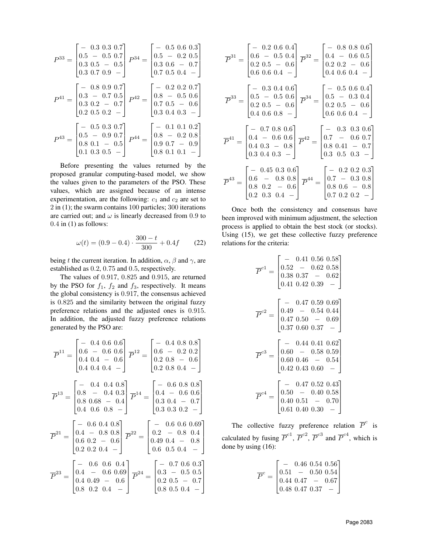$$
P^{33} = \begin{bmatrix} - & 0.3 & 0.3 & 0.7 \\ 0.5 & - & 0.5 & 0.7 \\ 0.3 & 0.5 & - & 0.5 \\ 0.3 & 0.7 & 0.9 & - \end{bmatrix} P^{34} = \begin{bmatrix} - & 0.5 & 0.6 & 0.3 \\ 0.5 & - & 0.2 & 0.5 \\ 0.3 & 0.6 & - & 0.7 \\ 0.7 & 0.5 & 0.4 & - \end{bmatrix}
$$
\n
$$
P^{41} = \begin{bmatrix} - & 0.8 & 0.9 & 0.7 \\ 0.3 & - & 0.7 & 0.5 \\ 0.3 & 0.2 & - & 0.7 \\ 0.2 & 0.5 & 0.2 & - \end{bmatrix} P^{42} = \begin{bmatrix} - & 0.2 & 0.2 & 0.7 \\ 0.8 & - & 0.5 & 0.6 \\ 0.7 & 0.5 & - & 0.6 \\ 0.3 & 0.4 & 0.3 & - \end{bmatrix}
$$
\n
$$
P^{43} = \begin{bmatrix} - & 0.5 & 0.3 & 0.7 \\ 0.5 & - & 0.9 & 0.7 \\ 0.8 & 0.1 & - & 0.5 \\ 0.9 & 0.7 & - & 0.9 \\ 0.8 & 0.1 & 0.1 & - \end{bmatrix} P^{44} = \begin{bmatrix} - & 0.1 & 0.1 & 0.2 \\ 0.8 & - & 0.2 & 0.8 \\ 0.9 & 0.7 & - & 0.9 \\ 0.8 & 0.1 & 0.1 & - \end{bmatrix}
$$

Before presenting the values returned by the proposed granular computing-based model, we show the values given to the parameters of the PSO. These values, which are assigned because of an intense experimentation, are the following:  $c_1$  and  $c_2$  are set to 2 in (1); the swarm contains 100 particles; 300 iterations are carried out; and  $\omega$  is linearly decreased from 0.9 to  $0.4$  in  $(1)$  as follows:

$$
\omega(t) = (0.9 - 0.4) \cdot \frac{300 - t}{300} + 0.4f \tag{22}
$$

being t the current iteration. In addition,  $\alpha$ ,  $\beta$  and  $\gamma$ , are established as 0.2, 0.75 and 0.5, respectively.

The values of 0.917, 0.825 and 0.915, are returned by the PSO for  $f_1$ ,  $f_2$  and  $f_3$ , respectively. It means the global consistency is 0.917, the consensus achieved is 0.825 and the similarity between the original fuzzy preference relations and the adjusted ones is 0.915. In addition, the adjusted fuzzy preference relations generated by the PSO are:

$$
\overline{P}^{11} = \begin{bmatrix}\n- & 0.4 & 0.6 & 0.6 \\
0.6 & - & 0.6 & 0.6 \\
0.4 & 0.4 & - & 0.6 \\
0.4 & 0.4 & 0.4 & -\n\end{bmatrix}\n\overline{P}^{12} = \begin{bmatrix}\n- & 0.4 & 0.8 & 0.8 \\
0.6 & - & 0.2 & 0.2 \\
0.2 & 0.8 & - & 0.6 \\
0.2 & 0.8 & - & 0.6\n\end{bmatrix}
$$
\n
$$
\overline{P}^{13} = \begin{bmatrix}\n- & 0.4 & 0.4 & 0.8 \\
0.8 & - & 0.4 & 0.3 \\
0.8 & 0.68 & - & 0.4 \\
0.4 & 0.6 & 0.8 & -\n\end{bmatrix}\n\overline{P}^{14} = \begin{bmatrix}\n- & 0.6 & 0.8 & 0.8 \\
0.4 & - & 0.6 & 0.6 \\
0.3 & 0.4 & - & 0.7 \\
0.3 & 0.3 & - & 0.2\n\end{bmatrix}
$$
\n
$$
\overline{P}^{21} = \begin{bmatrix}\n- & 0.6 & 0.4 & 0.8 \\
0.4 & - & 0.8 & 0.8 \\
0.6 & 0.2 & - & 0.6 \\
0.2 & 0.2 & 0.4 & -\n\end{bmatrix}\n\overline{P}^{22} = \begin{bmatrix}\n- & 0.6 & 0.6 & 0.69 \\
0.2 & - & 0.8 & 0.4 \\
0.4 & 0.4 & - & 0.8 \\
0.6 & 0.5 & 0.4 & -\n\end{bmatrix}
$$
\n
$$
\overline{P}^{23} = \begin{bmatrix}\n- & 0.6 & 0.6 & 0.4 \\
0.4 & - & 0.6 & 0.69 \\
0.4 & 0.49 & - & 0.6 \\
0.8 & 0.2 & 0.4 & -\n\end{bmatrix}\n\overline{P}^{24} = \begin{bmatrix}\n- & 0.7 & 0.6 & 0.3 \\
0.3 & - & 0.5 & 0.5 \\
0.2 & 0.5 & - & 0.7 \\
0.8 & 0.5 & 0.4 & -\n\end{bmatrix}
$$

$$
\overline{P}^{31} = \begin{bmatrix} - & 0.2 & 0.6 & 0.4 \\ 0.6 & - & 0.5 & 0.4 \\ 0.2 & 0.5 & - & 0.6 \\ 0.6 & 0.6 & 0.4 & - \end{bmatrix} \overline{P}^{32} = \begin{bmatrix} - & 0.8 & 0.8 & 0.6 \\ 0.4 & - & 0.6 & 0.5 \\ 0.2 & 0.2 & - & 0.6 \\ 0.4 & 0.6 & 0.4 & - \end{bmatrix}
$$

$$
\overline{P}^{33} = \begin{bmatrix} - & 0.3 & 0.4 & 0.6 \\ 0.5 & - & 0.5 & 0.6 \\ 0.2 & 0.5 & - & 0.6 \\ 0.4 & 0.6 & 0.8 & - \end{bmatrix} \overline{P}^{34} = \begin{bmatrix} - & 0.5 & 0.6 & 0.4 \\ 0.5 & - & 0.3 & 0.4 \\ 0.2 & 0.5 & - & 0.6 \\ 0.6 & 0.6 & 0.4 & - \end{bmatrix}
$$

$$
\overline{P}^{41} = \begin{bmatrix} - & 0.7 & 0.8 & 0.6 \\ 0.4 & - & 0.6 & 0.6 \\ 0.4 & 0.3 & - & 0.8 \\ 0.3 & 0.4 & 0.3 & - \end{bmatrix} \overline{P}^{42} = \begin{bmatrix} - & 0.3 & 0.3 & 0.6 \\ 0.7 & - & 0.6 & 0.7 \\ 0.8 & 0.41 & - & 0.7 \\ 0.3 & 0.5 & 0.3 & - \end{bmatrix}
$$

$$
\overline{P}^{43} = \begin{bmatrix} - & 0.45 & 0.3 & 0.6 \\ 0.6 & - & 0.8 & 0.8 \\ 0.8 & 0.2 & - & 0.6 \\ 0.2 & 0.3 & 0.4 & - \end{bmatrix} \overline{P}^{44} = \begin{bmatrix} - & 0.2 & 0.2 & 0.3 \\ 0.7 & - & 0.3 & 0.8 \\ 0.8 & 0.6 & - & 0.8 \\ 0.7 & 0.2 & 0.2 & - \end{bmatrix}
$$

Once both the consistency and consensus have been improved with minimum adjustment, the selection process is applied to obtain the best stock (or stocks). Using (15), we get these collective fuzzy preference relations for the criteria:

$$
\overline{P}^{c1} = \begin{bmatrix}\n- & 0.41 & 0.56 & 0.58 \\
0.52 & - & 0.62 & 0.58 \\
0.38 & 0.37 & - & 0.62 \\
0.41 & 0.42 & 0.39 & -\n\end{bmatrix}
$$
\n
$$
\overline{P}^{c2} = \begin{bmatrix}\n- & 0.47 & 0.59 & 0.69 \\
0.49 & - & 0.54 & 0.44 \\
0.47 & 0.50 & - & 0.69 \\
0.37 & 0.60 & 0.37 & -\n\end{bmatrix}
$$
\n
$$
\overline{P}^{c3} = \begin{bmatrix}\n- & 0.44 & 0.41 & 0.62 \\
0.60 & - & 0.58 & 0.59 \\
0.60 & 0.46 & - & 0.54 \\
0.42 & 0.43 & 0.60 & -\n\end{bmatrix}
$$
\n
$$
\overline{P}^{c4} = \begin{bmatrix}\n- & 0.47 & 0.52 & 0.43 \\
0.50 & - & 0.40 & 0.58 \\
0.40 & 0.51 & - & 0.70 \\
0.61 & 0.40 & 0.30 & -\n\end{bmatrix}
$$

The collective fuzzy preference relation  $\overline{P}^c$  is calculated by fusing  $\overline{P}^{c1}$ ,  $\overline{P}^{c2}$ ,  $\overline{P}^{c3}$  and  $\overline{P}^{c4}$ , which is done by using (16):

$$
\overline{P}^c = \begin{bmatrix} - & 0.46 & 0.54 & 0.56 \\ 0.51 & - & 0.50 & 0.54 \\ 0.44 & 0.47 & - & 0.67 \\ 0.48 & 0.47 & 0.37 & - \end{bmatrix}
$$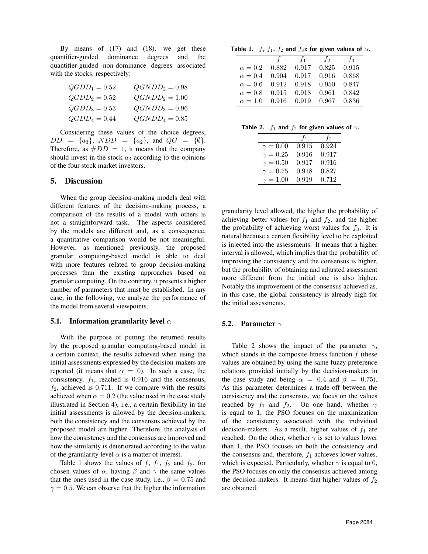By means of  $(17)$  and  $(18)$ , we get these quantifier-guided dominance degrees and the quantifier-guided non-dominance degrees associated with the stocks, respectively:

| $QGDD_1=0.52$ | $QGNDD_2=0.98$ |
|---------------|----------------|
| $QGDD_2=0.52$ | $QGNDD_2=1.00$ |
| $QGDD_3=0.53$ | $QGNDD_3=0.96$ |
| $QGDD_4=0.44$ | $QGNDD_4=0.85$ |

Considering these values of the choice degrees,  $DD = \{a_3\}, \ NDD = \{a_2\}, \text{ and } QG = \{\emptyset\}.$ Therefore, as  $#DD = 1$ , it means that the company should invest in the stock  $a_3$  according to the opinions of the four stock market investors.

### 5. Discussion

When the group decision-making models deal with different features of the decision-making process, a comparison of the results of a model with others is not a straightforward task. The aspects considered by the models are different and, as a consequence, a quantitative comparison would be not meaningful. However, as mentioned previously, the proposed granular computing-based model is able to deal with more features related to group decision-making processes than the existing approaches based on granular computing. On the contrary, it presents a higher number of parameters that must be established. In any case, in the following, we analyze the performance of the model from several viewpoints.

## 5.1. Information granularity level  $\alpha$

With the purpose of putting the returned results by the proposed granular computing-based model in a certain context, the results achieved when using the initial assessments expressed by the decision-makers are reported (it means that  $\alpha = 0$ ). In such a case, the consistency,  $f_1$ , reached is 0.916 and the consensus,  $f_2$ , achieved is 0.711. If we compare with the results achieved when  $\alpha = 0.2$  (the value used in the case study illustrated in Section 4), i.e., a certain flexibility in the initial assessments is allowed by the decision-makers, both the consistency and the consensus achieved by the proposed model are higher. Therefore, the analysis of how the consistency and the consensus are improved and how the similarity is deteriorated according to the value of the granularity level  $\alpha$  is a matter of interest.

Table 1 shows the values of  $f$ ,  $f_1$ ,  $f_2$  and  $f_3$ , for chosen values of  $\alpha$ , having  $\beta$  and  $\gamma$  the same values that the ones used in the case study, i.e.,  $\beta = 0.75$  and  $\gamma = 0.5$ . We can observe that the higher the information

Table 1. f,  $f_1$ ,  $f_2$  and  $f_3$ x for given values of  $\alpha$ .

|                |       | $f_1$ | $f_2$ | $f_3$ |
|----------------|-------|-------|-------|-------|
| $\alpha = 0.2$ | 0.882 | 0.917 | 0.825 | 0.915 |
| $\alpha = 0.4$ | 0.904 | 0.917 | 0.916 | 0.868 |
| $\alpha = 0.6$ | 0.912 | 0.918 | 0.950 | 0.847 |
| $\alpha = 0.8$ | 0.915 | 0.918 | 0.961 | 0.842 |
| $\alpha = 1.0$ | 0.916 | 0.919 | 0.967 | 0.836 |

| Table 2. $f_1$ and $f_2$ for given values of $\gamma$ . |  |  |  |  |  |  |  |  |
|---------------------------------------------------------|--|--|--|--|--|--|--|--|
|---------------------------------------------------------|--|--|--|--|--|--|--|--|

|                 | $f_1$ | $f_2$ |
|-----------------|-------|-------|
| $\gamma = 0.00$ | 0.915 | 0.924 |
| $\gamma = 0.25$ | 0.916 | 0.917 |
| $\gamma = 0.50$ | 0.917 | 0.916 |
| $\gamma = 0.75$ | 0.918 | 0.827 |
| $\gamma = 1.00$ | 0.919 | 0.712 |

granularity level allowed, the higher the probability of achieving better values for  $f_1$  and  $f_2$ , and the higher the probability of achieving worst values for  $f_3$ . It is natural because a certain flexibility level to be exploited is injected into the assessments. It means that a higher interval is allowed, which implies that the probability of improving the consistency and the consensus is higher, but the probability of obtaining and adjusted assessment more different from the initial one is also higher. Notably the improvement of the consensus achieved as, in this case, the global consistency is already high for the initial assessments.

#### **5.2.** Parameter  $\gamma$

Table 2 shows the impact of the parameter  $\gamma$ , which stands in the composite fitness function  $f$  (these values are obtained by using the same fuzzy preference relations provided initially by the decision-makers in the case study and being  $\alpha = 0.4$  and  $\beta = 0.75$ . As this parameter determines a trade-off between the consistency and the consensus, we focus on the values reached by  $f_1$  and  $f_2$ . On one hand, whether  $\gamma$ is equal to 1, the PSO focuses on the maximization of the consistency associated with the individual decision-makers. As a result, higher values of  $f_1$  are reached. On the other, whether  $\gamma$  is set to values lower than 1, the PSO focuses on both the consistency and the consensus and, therefore,  $f_1$  achieves lower values, which is expected. Particularly, whether  $\gamma$  is equal to 0, the PSO focuses on only the consensus achieved among the decision-makers. It means that higher values of  $f_2$ are obtained.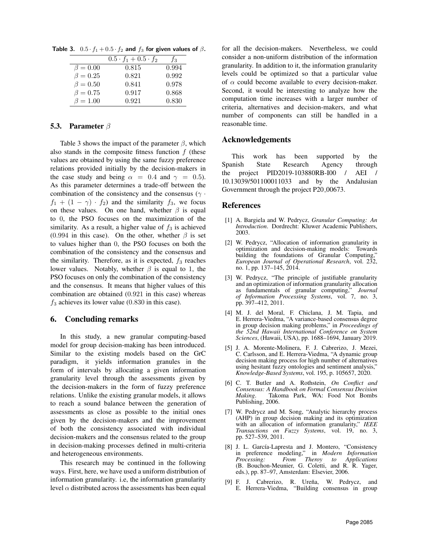Table 3.  $0.5 \cdot f_1 + 0.5 \cdot f_2$  and  $f_3$  for given values of  $\beta$ .

|                | $0.5 \cdot f_1 + 0.5 \cdot f_2$ | ĴЗ    |
|----------------|---------------------------------|-------|
| $\beta = 0.00$ | 0.815                           | 0.994 |
| $\beta = 0.25$ | 0.821                           | 0.992 |
| $\beta = 0.50$ | 0.841                           | 0.978 |
| $\beta = 0.75$ | 0.917                           | 0.868 |
| $\beta = 1.00$ | 0.921                           | 0.830 |

#### 5.3. Parameter β

Table 3 shows the impact of the parameter  $\beta$ , which also stands in the composite fitness function  $f$  (these values are obtained by using the same fuzzy preference relations provided initially by the decision-makers in the case study and being  $\alpha = 0.4$  and  $\gamma = 0.5$ ). As this parameter determines a trade-off between the combination of the consistency and the consensus ( $\gamma$  ·  $f_1 + (1 - \gamma) \cdot f_2$  and the similarity  $f_3$ , we focus on these values. On one hand, whether  $\beta$  is equal to 0, the PSO focuses on the maximization of the similarity. As a result, a higher value of  $f_3$  is achieved (0.994 in this case). On the other, whether  $\beta$  is set to values higher than 0, the PSO focuses on both the combination of the consistency and the consensus and the similarity. Therefore, as it is expected,  $f_3$  reaches lower values. Notably, whether  $\beta$  is equal to 1, the PSO focuses on only the combination of the consistency and the consensus. It means that higher values of this combination are obtained (0.921 in this case) whereas  $f_3$  achieves its lower value (0.830 in this case).

#### 6. Concluding remarks

In this study, a new granular computing-based model for group decision-making has been introduced. Similar to the existing models based on the GrC paradigm, it yields information granules in the form of intervals by allocating a given information granularity level through the assessments given by the decision-makers in the form of fuzzy preference relations. Unlike the existing granular models, it allows to reach a sound balance between the generation of assessments as close as possible to the initial ones given by the decision-makers and the improvement of both the consistency associated with individual decision-makers and the consensus related to the group in decision-making processes defined in multi-criteria and heterogeneous environments.

This research may be continued in the following ways. First, here, we have used a uniform distribution of information granularity. i.e, the information granularity level  $\alpha$  distributed across the assessments has been equal for all the decision-makers. Nevertheless, we could consider a non-uniform distribution of the information granularity. In addition to it, the information granularity levels could be optimized so that a particular value of  $\alpha$  could become available to every decision-maker. Second, it would be interesting to analyze how the computation time increases with a larger number of criteria, alternatives and decision-makers, and what number of components can still be handled in a reasonable time.

## Acknowledgements

This work has been supported by the Spanish State Research Agency through the project PID2019-103880RB-I00 / AEI / 10.13039/501100011033 and by the Andalusian Government through the project P20 00673.

#### References

- [1] A. Bargiela and W. Pedrycz, *Granular Computing: An Introduction*. Dordrecht: Kluwer Academic Publishers, 2003.
- [2] W. Pedrycz, "Allocation of information granularity in optimization and decision-making models: Towards building the foundations of Granular Computing," *European Journal of Operational Research*, vol. 232, no. 1, pp. 137–145, 2014.
- [3] W. Pedrycz, "The principle of justifiable granularity and an optimization of information granularity allocation as fundamentals of granular computing," *Journal of Information Processing Systems*, vol. 7, no. 3, pp. 397–412, 2011.
- [4] M. J. del Moral, F. Chiclana, J. M. Tapia, and E. Herrera-Viedma, "A variance-based consensus degree in group decision making problems," in *Proceedings of the 52nd Hawaii International Conference on System Sciences*, (Hawaii, USA), pp. 1688–1694, January 2019.
- [5] J. A. Morente-Molinera, F. J. Cabrerizo, J. Mezei, C. Carlsson, and E. Herrera-Viedma, "A dynamic group decision making process for high number of alternatives using hesitant fuzzy ontologies and sentiment analysis," *Knowledge-Based Systems*, vol. 195, p. 105657, 2020.
- [6] C. T. Butler and A. Rothstein, *On Conflict and Consensus: A Handbook on Formal Consensus Decision Making*. Takoma Park, WA: Food Not Bombs Publishing, 2006.
- [7] W. Pedrycz and M. Song, "Analytic hierarchy process (AHP) in group decision making and its optimization with an allocation of information granularity," *IEEE Transactions on Fuzzy Systems*, vol. 19, no. 3, pp. 527–539, 2011.
- [8] J. L. García-Lapresta and J. Montero, "Consistency in preference modeling," in *Modern Information Processing: From Theroy to Applications* (B. Bouchon-Meunier, G. Coletti, and R. R. Yager, eds.), pp. 87–97, Amsterdam: Elsevier, 2006.
- [9] F. J. Cabrerizo, R. Ureña, W. Pedrycz, and E. Herrera-Viedma, "Building consensus in group